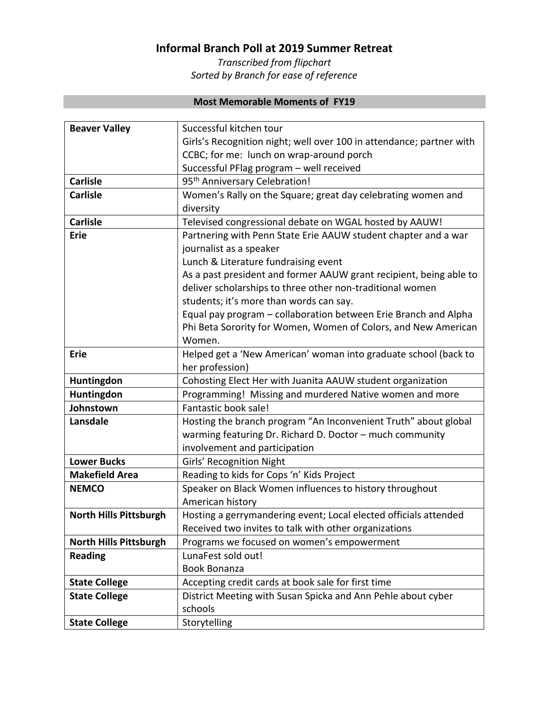## **Informal Branch Poll at 2019 Summer Retreat**

*Transcribed from flipchart Sorted by Branch for ease of reference*

## **Most Memorable Moments of FY19**

| <b>Beaver Valley</b>          | Successful kitchen tour                                              |
|-------------------------------|----------------------------------------------------------------------|
|                               | Girls's Recognition night; well over 100 in attendance; partner with |
|                               | CCBC; for me: lunch on wrap-around porch                             |
|                               | Successful PFlag program - well received                             |
| <b>Carlisle</b>               | 95 <sup>th</sup> Anniversary Celebration!                            |
| <b>Carlisle</b>               | Women's Rally on the Square; great day celebrating women and         |
|                               | diversity                                                            |
| <b>Carlisle</b>               | Televised congressional debate on WGAL hosted by AAUW!               |
| <b>Erie</b>                   | Partnering with Penn State Erie AAUW student chapter and a war       |
|                               | journalist as a speaker                                              |
|                               | Lunch & Literature fundraising event                                 |
|                               | As a past president and former AAUW grant recipient, being able to   |
|                               | deliver scholarships to three other non-traditional women            |
|                               | students; it's more than words can say.                              |
|                               | Equal pay program - collaboration between Erie Branch and Alpha      |
|                               | Phi Beta Sorority for Women, Women of Colors, and New American       |
|                               | Women.                                                               |
| <b>Erie</b>                   | Helped get a 'New American' woman into graduate school (back to      |
|                               | her profession)                                                      |
| Huntingdon                    | Cohosting Elect Her with Juanita AAUW student organization           |
| Huntingdon                    | Programming! Missing and murdered Native women and more              |
| Johnstown                     | Fantastic book sale!                                                 |
| Lansdale                      | Hosting the branch program "An Inconvenient Truth" about global      |
|                               | warming featuring Dr. Richard D. Doctor - much community             |
|                               | involvement and participation                                        |
| <b>Lower Bucks</b>            | Girls' Recognition Night                                             |
| <b>Makefield Area</b>         | Reading to kids for Cops 'n' Kids Project                            |
| <b>NEMCO</b>                  | Speaker on Black Women influences to history throughout              |
|                               | American history                                                     |
| <b>North Hills Pittsburgh</b> | Hosting a gerrymandering event; Local elected officials attended     |
|                               | Received two invites to talk with other organizations                |
| <b>North Hills Pittsburgh</b> | Programs we focused on women's empowerment                           |
| <b>Reading</b>                | LunaFest sold out!                                                   |
|                               | <b>Book Bonanza</b>                                                  |
| <b>State College</b>          | Accepting credit cards at book sale for first time                   |
| <b>State College</b>          | District Meeting with Susan Spicka and Ann Pehle about cyber         |
|                               | schools                                                              |
| <b>State College</b>          | Storytelling                                                         |